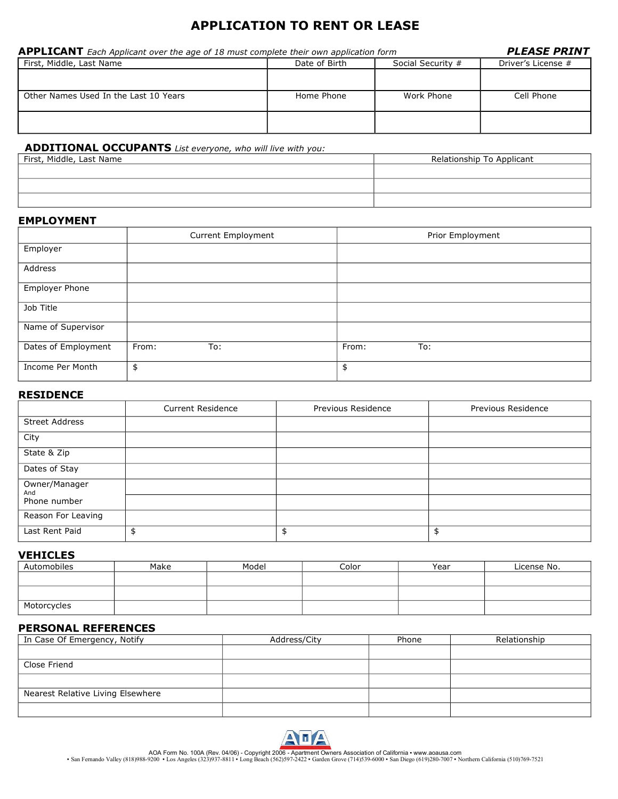# **APPLICATION TO RENT OR LEASE**

| <b>APPLICANT</b> Each Applicant over the age of 18 must complete their own application form | <b>PLEASE PRINT</b> |                   |                    |
|---------------------------------------------------------------------------------------------|---------------------|-------------------|--------------------|
| First, Middle, Last Name                                                                    | Date of Birth       | Social Security # | Driver's License # |
|                                                                                             |                     |                   |                    |
| Other Names Used In the Last 10 Years                                                       | Home Phone          | Work Phone        | Cell Phone         |
|                                                                                             |                     |                   |                    |

# **ADDITIONAL OCCUPANTS** *List everyone, who will live with you:*

| First, Middle, Last Name | Relationship To Applicant |
|--------------------------|---------------------------|
|                          |                           |
|                          |                           |
|                          |                           |

### **EMPLOYMENT**

|                     | Current Employment | Prior Employment |
|---------------------|--------------------|------------------|
| Employer            |                    |                  |
| Address             |                    |                  |
| Employer Phone      |                    |                  |
| Job Title           |                    |                  |
| Name of Supervisor  |                    |                  |
| Dates of Employment | From:<br>To:       | From:<br>To:     |
| Income Per Month    | \$                 | \$               |

# **RESIDENCE**

|                       | <b>Current Residence</b> | Previous Residence | Previous Residence |
|-----------------------|--------------------------|--------------------|--------------------|
| <b>Street Address</b> |                          |                    |                    |
| City                  |                          |                    |                    |
| State & Zip           |                          |                    |                    |
| Dates of Stay         |                          |                    |                    |
| Owner/Manager<br>And  |                          |                    |                    |
| Phone number          |                          |                    |                    |
| Reason For Leaving    |                          |                    |                    |
| Last Rent Paid        |                          | \$                 | \$                 |

## **VEHICLES**

| Automobiles | Make | Model | Color | Year | License No. |
|-------------|------|-------|-------|------|-------------|
|             |      |       |       |      |             |
|             |      |       |       |      |             |
| Motorcycles |      |       |       |      |             |

# **PERSONAL REFERENCES**

| In Case Of Emergency, Notify      | Address/City | Phone | Relationship |
|-----------------------------------|--------------|-------|--------------|
|                                   |              |       |              |
| Close Friend                      |              |       |              |
|                                   |              |       |              |
| Nearest Relative Living Elsewhere |              |       |              |
|                                   |              |       |              |



AOA Form No. 100A (Rev. 04/06) - Copyright 2006 - Apartment Owners Association of California • www.aoausa.com<br>San Fernando Valley (818)988-9200 • Los Angeles (323)937-8811 • Long Beach (562)597-2422 • Garden Grove (714)539